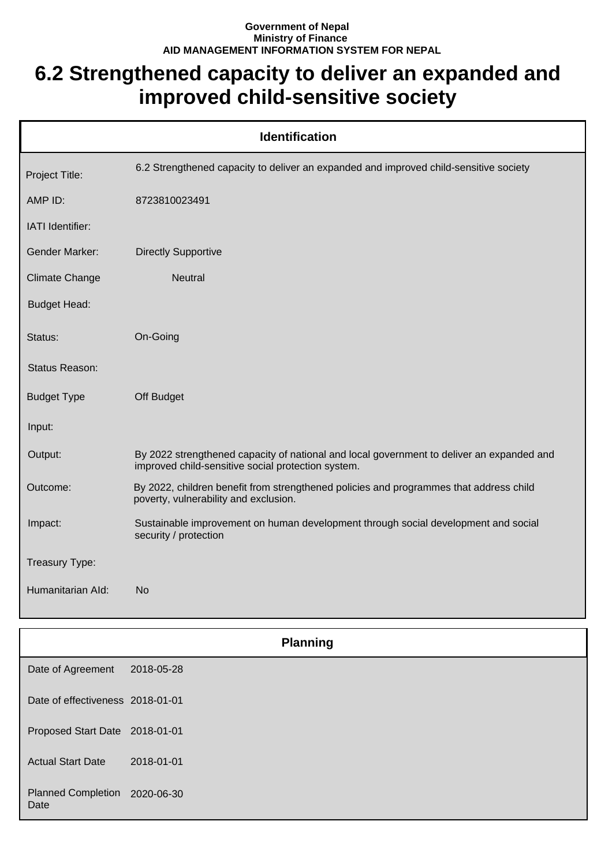## **Government of Nepal Ministry of Finance AID MANAGEMENT INFORMATION SYSTEM FOR NEPAL**

## **6.2 Strengthened capacity to deliver an expanded and improved child-sensitive society**

| <b>Identification</b> |                                                                                                                                                 |  |
|-----------------------|-------------------------------------------------------------------------------------------------------------------------------------------------|--|
| Project Title:        | 6.2 Strengthened capacity to deliver an expanded and improved child-sensitive society                                                           |  |
| AMP ID:               | 8723810023491                                                                                                                                   |  |
| IATI Identifier:      |                                                                                                                                                 |  |
| <b>Gender Marker:</b> | <b>Directly Supportive</b>                                                                                                                      |  |
| <b>Climate Change</b> | <b>Neutral</b>                                                                                                                                  |  |
| <b>Budget Head:</b>   |                                                                                                                                                 |  |
| Status:               | On-Going                                                                                                                                        |  |
| Status Reason:        |                                                                                                                                                 |  |
| <b>Budget Type</b>    | Off Budget                                                                                                                                      |  |
| Input:                |                                                                                                                                                 |  |
| Output:               | By 2022 strengthened capacity of national and local government to deliver an expanded and<br>improved child-sensitive social protection system. |  |
| Outcome:              | By 2022, children benefit from strengthened policies and programmes that address child<br>poverty, vulnerability and exclusion.                 |  |
| Impact:               | Sustainable improvement on human development through social development and social<br>security / protection                                     |  |
| Treasury Type:        |                                                                                                                                                 |  |
| Humanitarian Ald:     | <b>No</b>                                                                                                                                       |  |

|                                       | <b>Planning</b> |  |
|---------------------------------------|-----------------|--|
| Date of Agreement                     | 2018-05-28      |  |
| Date of effectiveness 2018-01-01      |                 |  |
| Proposed Start Date 2018-01-01        |                 |  |
| <b>Actual Start Date</b>              | 2018-01-01      |  |
| Planned Completion 2020-06-30<br>Date |                 |  |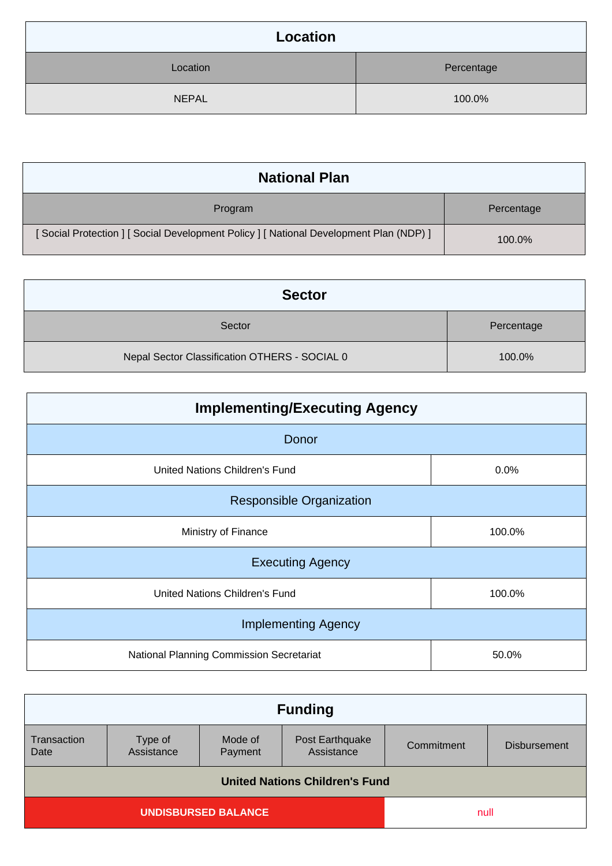| Location     |            |
|--------------|------------|
| Location     | Percentage |
| <b>NEPAL</b> | 100.0%     |

| <b>National Plan</b>                                                                    |            |
|-----------------------------------------------------------------------------------------|------------|
| Program                                                                                 | Percentage |
| [ Social Protection ] [ Social Development Policy ] [ National Development Plan (NDP) ] | 100.0%     |

| <b>Sector</b>                                 |            |
|-----------------------------------------------|------------|
| Sector                                        | Percentage |
| Nepal Sector Classification OTHERS - SOCIAL 0 | 100.0%     |

| <b>Implementing/Executing Agency</b>     |        |  |
|------------------------------------------|--------|--|
| Donor                                    |        |  |
| United Nations Children's Fund           | 0.0%   |  |
| <b>Responsible Organization</b>          |        |  |
| Ministry of Finance                      | 100.0% |  |
| <b>Executing Agency</b>                  |        |  |
| United Nations Children's Fund           | 100.0% |  |
| <b>Implementing Agency</b>               |        |  |
| National Planning Commission Secretariat | 50.0%  |  |

| <b>Funding</b>                        |                       |                    |                               |            |                     |
|---------------------------------------|-----------------------|--------------------|-------------------------------|------------|---------------------|
| Transaction<br>Date                   | Type of<br>Assistance | Mode of<br>Payment | Post Earthquake<br>Assistance | Commitment | <b>Disbursement</b> |
| <b>United Nations Children's Fund</b> |                       |                    |                               |            |                     |
| <b>UNDISBURSED BALANCE</b>            |                       |                    | null                          |            |                     |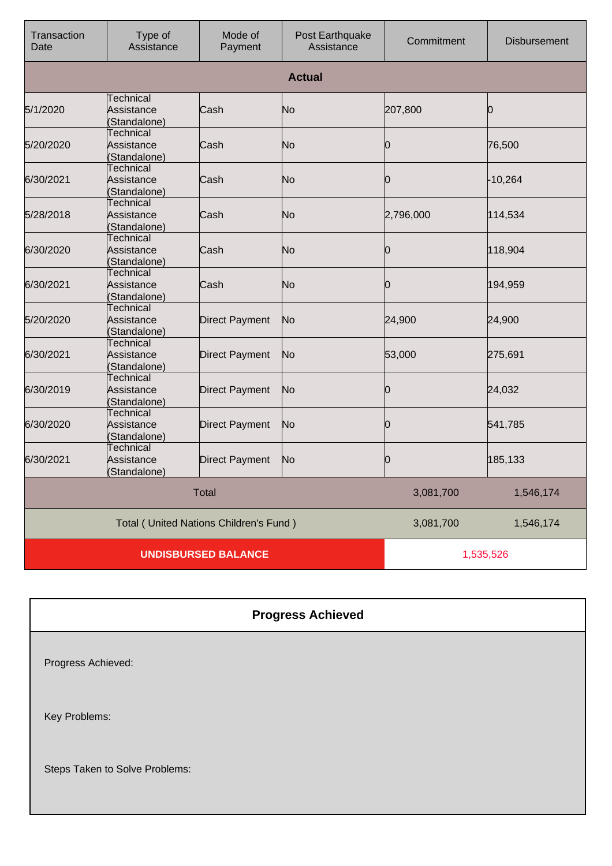| Transaction<br>Date        | Type of<br>Assistance                          | Mode of<br>Payment    | Post Earthquake<br>Assistance | Commitment | <b>Disbursement</b> |
|----------------------------|------------------------------------------------|-----------------------|-------------------------------|------------|---------------------|
|                            |                                                |                       | <b>Actual</b>                 |            |                     |
| 5/1/2020                   | Technical<br>Assistance<br>(Standalone)        | Cash                  | No                            | 207,800    | 10                  |
| 5/20/2020                  | <b>Technical</b><br>Assistance<br>Standalone)  | Cash                  | No                            | Ю          | 76,500              |
| 6/30/2021                  | Technical<br>Assistance<br>(Standalone)        | Cash                  | No                            | Ю          | $-10,264$           |
| 5/28/2018                  | <b>Technical</b><br>Assistance<br>(Standalone) | Cash                  | N <sub>o</sub>                | 2,796,000  | 114,534             |
| 6/30/2020                  | Technical<br>Assistance<br>(Standalone)        | Cash                  | No                            | Ю          | 118,904             |
| 6/30/2021                  | <b>Technical</b><br>Assistance<br>(Standalone) | Cash                  | No                            | 0          | 194,959             |
| 5/20/2020                  | Technical<br>Assistance<br>(Standalone)        | <b>Direct Payment</b> | No                            | 24,900     | 24,900              |
| 6/30/2021                  | Technical<br>Assistance<br>(Standalone)        | <b>Direct Payment</b> | No                            | 53,000     | 275,691             |
| 6/30/2019                  | Technical<br>Assistance<br>(Standalone)        | <b>Direct Payment</b> | No                            | Ю          | 24,032              |
| 6/30/2020                  | <b>Technical</b><br>Assistance<br>(Standalone) | <b>Direct Payment</b> | N <sub>o</sub>                | Ю          | 541,785             |
| 6/30/2021                  | <b>Technical</b><br>Assistance<br>(Standalone) | <b>Direct Payment</b> | No                            | 10         | 185,133             |
|                            |                                                | <b>Total</b>          |                               | 3,081,700  | 1,546,174           |
|                            | Total (United Nations Children's Fund)         |                       |                               | 3,081,700  | 1,546,174           |
| <b>UNDISBURSED BALANCE</b> |                                                |                       |                               | 1,535,526  |                     |

| <b>Progress Achieved</b>       |
|--------------------------------|
| Progress Achieved:             |
| Key Problems:                  |
| Steps Taken to Solve Problems: |